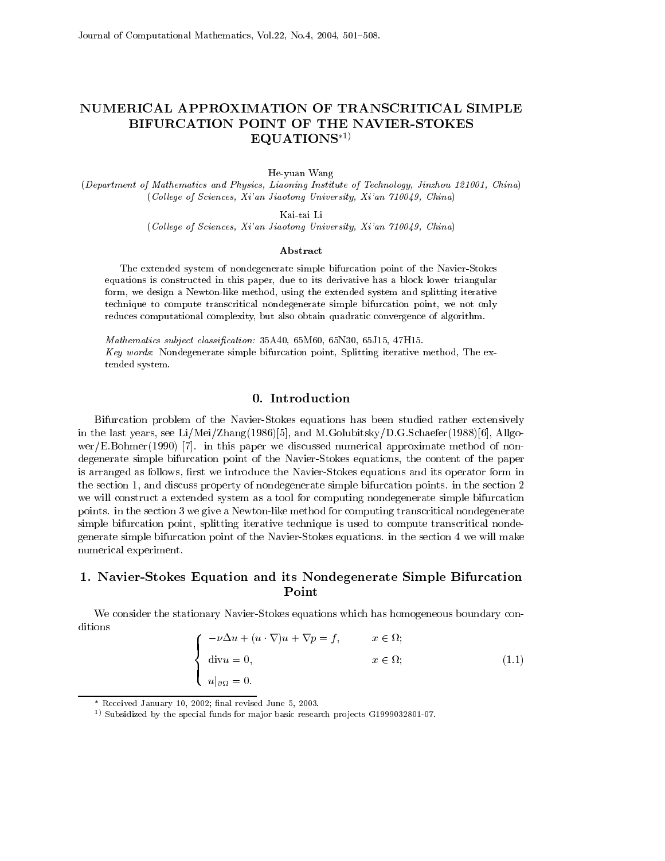# NUMERICAL APPROXIMATION OF TRANSCRITICAL SIMPLE BIFURCATION POINT OF THE NAVIER-STOKES  $EQUATIONS*1)$

He-yuan Wang

repartment of Mathematics and Physics, Liaoning Institute of Technology, Finzhou 121001, Chinafty (1  $\chi$  College of Sciences,  $\Lambda v$  an Jiaotong University,  $\Lambda v$  an IIO049, Chinaf

Kai-tai Li

 $\chi$  Contege of Sciences, An anti-Jiaotong University, An anti-Loogy, Uninal

#### Abstract

The extended system of nondegenerate simple bifurcation point of the Navier-Stokes equations is constructed in this paper, due to its derivative has a block lower triangular form, we design a Newton-like method, using the extended system and splitting iterative technique to compute transcritical nondegenerate simple bifurcation point, we not only reduces computational complexity, but also obtain quadratic convergence of algorithm.

 $M$ athematics subject classification.  $\partial \partial A$ 40, 001000, 00100, 00110, 47110.  $Key words: Nondegenerate simple bifurcation point, Splitting iterative method, The ex$ tended system

Bifurcation problem of the Navier-Stokes equations has been studied rather extensively in the last years see Li-Charles and Meirice and Meirice and Meirice and Meirice (2000) (1991) the  $\Delta$  we are the set of the state  $\mu$  . The discussed numerical approximation is denoted the set of  $\mu$ degenerate simple bifurcation point of the Navier-Stokes equations, the content of the paper is arranged as follows, first we introduce the Navier-Stokes equations and its operator form in the section 1, and discuss property of nondegenerate simple bifurcation points. in the section  $2$ we will construct a extended system as a tool for computing nondegenerate simple bifurcation points. in the section 3 we give a Newton-like method for computing transcritical nondegenerate simple bifurcation point, splitting iterative technique is used to compute transcritical nondegenerate simple bifurcation point of the Navier-Stokes equations. in the section 4 we will make numerical experiment

## - NavierStokes Equation and its Nondegenerate Simple Bifurcation Point

We consider the stationary Navier-Stokes equations which has homogeneous boundary conditions

$$
\begin{cases}\n-\nu \Delta u + (u \cdot \nabla)u + \nabla p = f, & x \in \Omega; \\
\text{div}u = 0, & x \in \Omega; \\
u|_{\partial \Omega} = 0.\n\end{cases}
$$
\n(1.1)

<sup>-</sup> Received January 10, 2002; final revised June 5, 2003.

 $\rightarrow$  Subsidized by the special funds for ma for basic research projects G1999052601-07.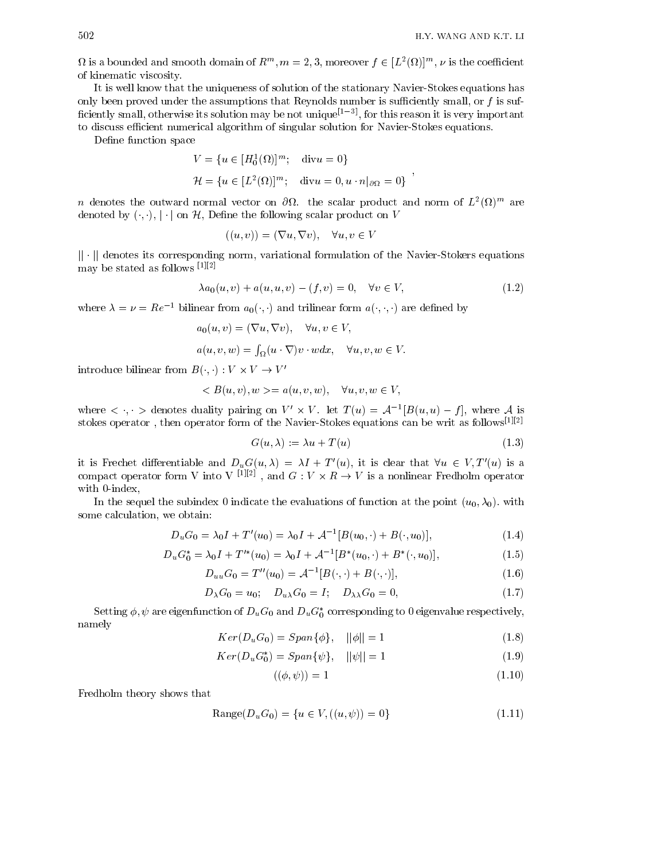$\mu$  is a bounded and smooth domain of  $R^m$ ,  $m = 2, 3$ , moreover  $f \in [L^2(M)]^m$ ,  $\nu$  is the coefficient of kinematic viscosity

It is well know that the uniqueness of solution of the stationary Navier-Stokes equations has only been proved under the assumptions that Reynolds number is sufficiently small, or  $f$  is sufciently small otherwise its solution may be not unique- for this reason it is very important to discuss efficient numerical algorithm of singular solution for Navier-Stokes equations.

Define function space

$$
V = \{u \in [H_0^1(\Omega)]^m; \text{ div } u = 0\}
$$
  

$$
\mathcal{H} = \{u \in [L^2(\Omega)]^m; \text{ div } u = 0, u \cdot n|_{\partial\Omega} = 0\}
$$

 $n$  denotes the outward normal vector on  $\sigma\!\imath\!\iota$ , the scalar product and norm of  $L^-(\mathcal{U})^{\rm ss}$  are denoted by  $(\cdot, \cdot), |\cdot|$  on H, Define the following scalar product on V

$$
((u, v)) = (\nabla u, \nabla v), \quad \forall u, v \in V
$$

 $|| \cdot ||$  denotes its corresponding norm, variational formulation of the Navier-Stokers equations may be stated as follows --

$$
\lambda a_0(u, v) + a(u, u, v) - (f, v) = 0, \quad \forall v \in V,
$$
\n(1.2)

 $\bar{,}$ 

where  $\lambda = \nu = Re^{-1}$  bilinear from  $a_0(\cdot, \cdot)$  and trilinear form  $a(\cdot, \cdot, \cdot)$  are defined by

$$
a_0(u, v) = (\nabla u, \nabla v), \quad \forall u, v \in V,
$$
  

$$
a(u, v, w) = \int_{\Omega} (u \cdot \nabla) v \cdot w dx, \quad \forall u, v, w \in V.
$$

introduce bilinear from  $B(\cdot, \cdot): V \times V \to V'$ 

$$
\langle B(u, v), w \rangle = a(u, v, w), \quad \forall u, v, w \in V,
$$

where  $\lt$ ,  $\gt$  denotes quality pairing on  $V \times V$ . Let  $T(u) = A \cup D(u, u) = f$ , where A is stokes operator , then operator form of the Navier-Stokes equations can be writ as follows-  $\cdot$  -

$$
G(u, \lambda) := \lambda u + T(u) \tag{1.3}
$$

it is Frechet differentiable and  $D_u G(u, \lambda) = \lambda I + I(u)$ , it is clear that  $\forall u \in V, I(u)$  is a compact operator form v into  $v \mapsto v$ , and  $G : V \times R \to V$  is a nonlinear Fredholm operator with 0-index,

in the sequel the substitution of functions of function at the evaluation at the sequely state  $\{ \cup \{j\} : \{j\} \}$ some calculation, we obtain:

$$
D_u G_0 = \lambda_0 I + T'(u_0) = \lambda_0 I + A^{-1} [B(u_0, \cdot) + B(\cdot, u_0)], \qquad (1.4)
$$

$$
D_u G_0^* = \lambda_0 I + T'^*(u_0) = \lambda_0 I + A^{-1} [B^*(u_0, \cdot) + B^*(\cdot, u_0)], \tag{1.5}
$$

$$
D_{uu}G_0 = T''(u_0) = A^{-1}[B(\cdot, \cdot) + B(\cdot, \cdot)],\tag{1.6}
$$

$$
D_{\lambda}G_0 = u_0; \quad D_{u\lambda}G_0 = I; \quad D_{\lambda\lambda}G_0 = 0,
$$
\n
$$
(1.7)
$$

Setting  $\varphi, \psi$  are eigenfunction of  $D_u$ G<sub>0</sub> and  $D_u$ G<sub>0</sub> corresponding to 0 eigenvalue respectively, namely

$$
Ker(D_u G_0) = Span{\phi}, \quad ||\phi|| = 1 \tag{1.8}
$$

$$
Ker(D_u G_0^*) = Span{\psi}, \quad ||\psi|| = 1 \tag{1.9}
$$

$$
((\phi, \psi)) = 1 \tag{1.10}
$$

Fredholm theory shows that

Range
$$
(D_u G_0) = \{u \in V, ((u, \psi)) = 0\}
$$
 (1.11)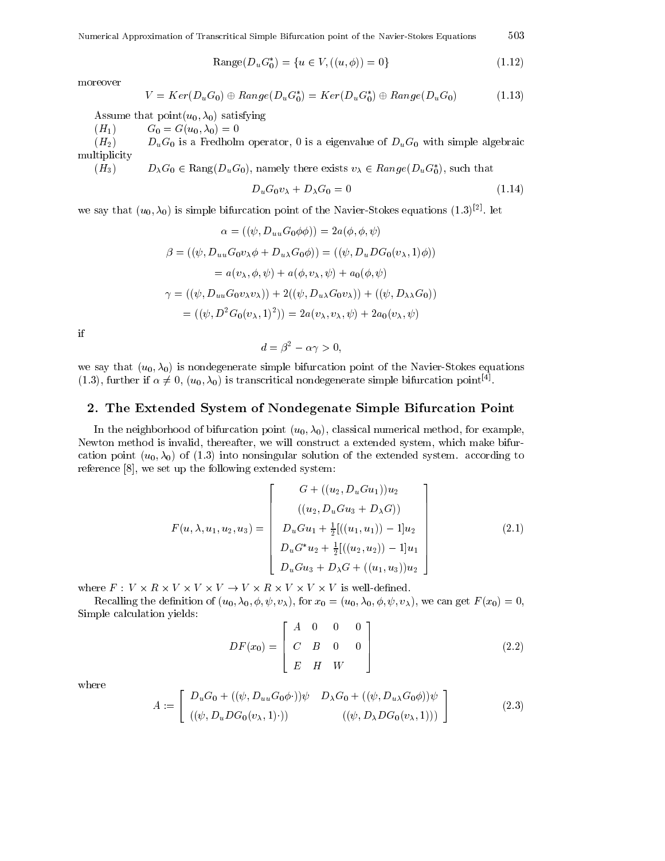Numerical Approximation of Transcritical Simple Bifurcation point of the Navier-Stokes Equations 503

$$
Range(D_u G_0^*) = \{u \in V, ((u, \phi)) = 0\}
$$
\n(1.12)

moreover

$$
V = Ker(D_u G_0) \oplus Range(D_u G_0^*) = Ker(D_u G_0^*) \oplus Range(D_u G_0)
$$
\n(1.13)

Assume that  $\text{point}(u_0, \lambda_0)$  satisfying

 $(H_1)$   $G_0 = G(u_0, \lambda_0) = 0$ 

 $(H_2)$   $D_uG_0$  is a Fredholm operator, 0 is a eigenvalue of  $D_uG_0$  with simple algebraic multiplicity

 $(H_3)$   $D_\lambda G_0 \in \text{Rang}(D_u G_0)$ , namely there exists  $v_\lambda \in \text{Rang}(D_u G_0)$ , such that

$$
D_u G_0 v_\lambda + D_\lambda G_0 = 0 \tag{1.14}
$$

we say that  $(u_0, \lambda_0)$  is simple bifurcation point of the Navier-Stokes equations  $(1.5)^{++}$ . Tet

$$
\alpha = ((\psi, D_{uu}G_0\phi\phi)) = 2a(\phi, \phi, \psi)
$$
  

$$
\beta = ((\psi, D_{uu}G_0v_{\lambda}\phi + D_{u\lambda}G_0\phi)) = ((\psi, D_{u}DG_0(v_{\lambda}, 1)\phi))
$$
  

$$
= a(v_{\lambda}, \phi, \psi) + a(\phi, v_{\lambda}, \psi) + a_0(\phi, \psi)
$$
  

$$
\gamma = ((\psi, D_{uu}G_0v_{\lambda}v_{\lambda})) + 2((\psi, D_{u\lambda}G_0v_{\lambda})) + ((\psi, D_{\lambda\lambda}G_0))
$$
  

$$
= ((\psi, D^2G_0(v_{\lambda}, 1)^2)) = 2a(v_{\lambda}, v_{\lambda}, \psi) + 2a_0(v_{\lambda}, \psi)
$$

if

$$
d = \beta^2 - \alpha \gamma > 0,
$$

we say that  $(u_0, \lambda_0)$  is nondegenerate simple bifurcation point of the Navier-Stokes equations  $(1.5)$ , further if  $\alpha \neq 0$ ,  $(u_0, \lambda_0)$  is transcritical nondegenerate simple bifurcation point  $\beta$ .

### - The Extended System of Nondegenate Simple Bifurcation Point

In the neighborhood of bifurcation point  $(u_0, \lambda_0)$ , classical numerical method, for example, Newton method is invalid, thereafter, we will construct a extended system, which make bifurcation point  $(u_0, \lambda_0)$  of (1.3) into nonsingular solution of the extended system. according to reference  $[8]$ , we set up the following extended system:

$$
F(u, \lambda, u_1, u_2, u_3) = \begin{bmatrix} G + ((u_2, D_u G u_1))u_2 \\ ((u_2, D_u G u_3 + D_\lambda G)) \\ D_u G u_1 + \frac{1}{2} [((u_1, u_1)) - 1]u_2 \\ D_u G^* u_2 + \frac{1}{2} [((u_2, u_2)) - 1]u_1 \\ D_u G u_3 + D_\lambda G + ((u_1, u_3))u_2 \end{bmatrix}
$$
(2.1)

where  $F: V \times R \times V \times V \times V \to V \times R \times V \times V \times V$  is well-defined.

Recalling the definition of  $(u_0, \lambda_0, \phi, \psi, v_\lambda)$ , for  $x_0 = (u_0, \lambda_0, \phi, \psi, v_\lambda)$ , we can get  $F(x_0) = 0$ , Simple calculation yields  $\blacksquare$ 

$$
DF(x_0) = \begin{bmatrix} A & 0 & 0 & 0 \\ C & B & 0 & 0 \\ E & H & W \end{bmatrix}
$$
 (2.2)

where

$$
A := \begin{bmatrix} D_u G_0 + ((\psi, D_{uu} G_0 \phi \cdot)) \psi & D_{\lambda} G_0 + ((\psi, D_{u\lambda} G_0 \phi)) \psi \\ ((\psi, D_u D G_0 (v_{\lambda}, 1) \cdot)) & ((\psi, D_{\lambda} D G_0 (v_{\lambda}, 1))) \end{bmatrix}
$$
(2.3)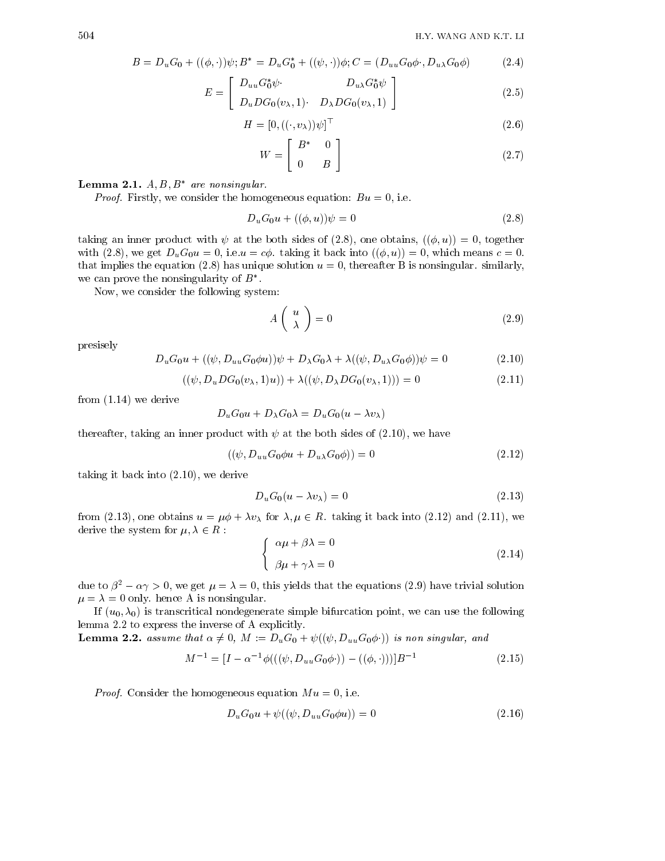$$
B = D_u G_0 + ((\phi, \cdot))\psi; B^* = D_u G_0^* + ((\psi, \cdot))\phi; C = (D_{uu} G_0 \phi \cdot D_{u\lambda} G_0 \phi) \tag{2.4}
$$

$$
E = \begin{bmatrix} D_{uu}G_0^*\psi & D_{u\lambda}G_0^*\psi \\ D_uDG_0(v_{\lambda},1) & D_{\lambda}DG_0(v_{\lambda},1) \end{bmatrix}
$$
(2.5)

$$
H = [0, ((\cdot, v_{\lambda}))\psi]^\top
$$
\n<sup>(2.6)</sup>

$$
W = \left[ \begin{array}{cc} B^* & 0 \\ 0 & B \end{array} \right] \tag{2.7}
$$

### **Lemma 2.1.**  $A, D, D$  are nonsingular.

Proof Firstly we consider the homogeneous equation Bu 
 ie

$$
D_u G_0 u + ((\phi, u)) \psi = 0 \tag{2.8}
$$

taking an inner product with  $\psi$  at the both sides of (2.8), one obtains,  $((\phi, u)) = 0$ , together with (2.8), we get  $D_uG_0u = 0$ , i.e.  $u = c\phi$ . taking it back into  $((\phi, u)) = 0$ , which means  $c = 0$ . that implies the equation  $(2.8)$  has unique solution  $u = 0$ , thereafter B is nonsingular. similarly, we can prove the nonsingularity of  $B$ -

Now, we consider the following system:

$$
A\left(\begin{array}{c} u \\ \lambda \end{array}\right) = 0 \tag{2.9}
$$

presisely

$$
D_u G_0 u + ((\psi, D_{uu} G_0 \phi u)) \psi + D_{\lambda} G_0 \lambda + \lambda ((\psi, D_{u\lambda} G_0 \phi)) \psi = 0
$$
\n(2.10)

$$
((\psi, D_u DG_0(v_{\lambda}, 1)u)) + \lambda ((\psi, D_{\lambda} DG_0(v_{\lambda}, 1))) = 0
$$
\n(2.11)

from  $(1.14)$  we derive

$$
D_u G_0 u + D_{\lambda} G_0 \lambda = D_u G_0 (u - \lambda v_{\lambda})
$$

thereafter, taking an inner product with  $\psi$  at the both sides of (2.10), we have

$$
((\psi, D_{uu}G_0\phi u + D_{u\lambda}G_0\phi)) = 0
$$
\n
$$
(2.12)
$$

taking it back into  $(2.10)$ , we derive

$$
D_u G_0 (u - \lambda v_\lambda) = 0 \tag{2.13}
$$

for a set of the contract  $\mu$  in the set of  $\mu$  , the contract in the set of the set  $\mu$  and  $\mu$  and  $\mu$ derive the system for  $\mathbb{R}^n$  ,  $\mathbb{R}^n$  ,  $\mathbb{R}^n$  ,  $\mathbb{R}^n$  ,  $\mathbb{R}^n$  ,  $\mathbb{R}^n$ 

$$
\begin{cases}\n\alpha \mu + \beta \lambda = 0 \\
\beta \mu + \gamma \lambda = 0\n\end{cases}
$$
\n(2.14)

due to  $\rho^- - \alpha \gamma > 0$ , we get  $\mu = \lambda = 0$ , this yields that the equations (2.9) have trivial solution  $\mu = \lambda = 0$  only. hence A is nonsingular.

If  $(u_0, \lambda_0)$  is transcritical nondegenerate simple bifurcation point, we can use the following lemma  $2.2$  to express the inverse of A explicitly.

**Lemma 2.2.** assume that  $\alpha \neq 0$ ,  $M := D_u G_0 + \psi((\psi, D_{uu} G_0 \phi \cdot))$  is non singular, and

$$
M^{-1} = [I - \alpha^{-1} \phi(((\psi, D_{uu} G_0 \phi \cdot)) - ((\phi, \cdot)))]B^{-1}
$$
\n(2.15)

Proof Consider the homogeneous equation M u 
 ie

$$
D_u G_0 u + \psi((\psi, D_{uu} G_0 \phi u)) = 0 \tag{2.16}
$$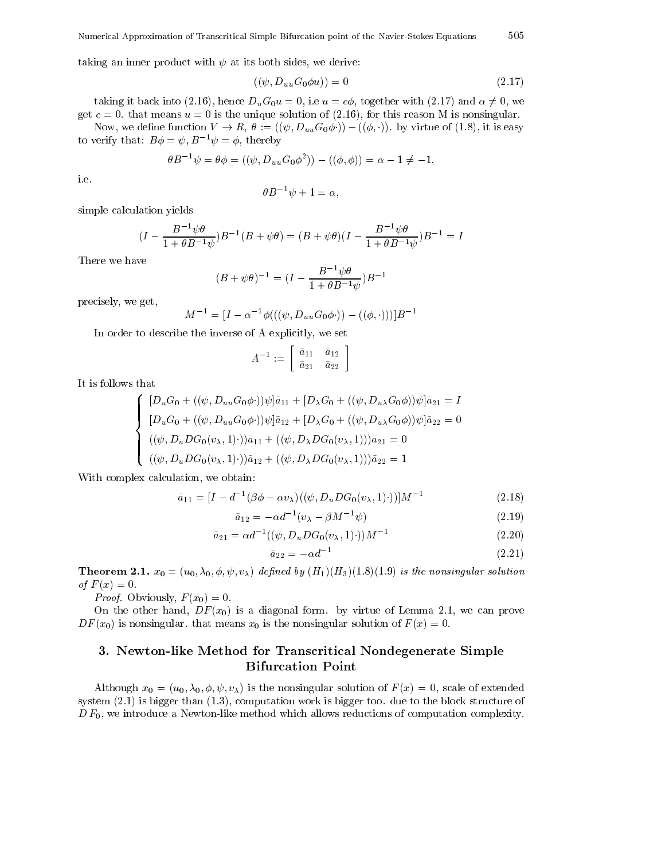taking an inner product with  $\psi$  at its both sides, we derive:

$$
((\psi, D_{uu}G_0\phi u)) = 0\tag{2.17}
$$

505

taking it back into (2.16), hence  $D_u G_0 u = 0$ , i.e  $u = c\phi$ , together with (2.17) and  $\alpha \neq 0$ , we get  $c = 0$ , that means  $u = 0$  is the unique solution of (2.16), for this reason M is nonsingular.

Now, we define function  $V \to R$ ,  $\theta := ((\psi, D_{uu}G_0\phi \cdot)) - ((\phi, \cdot))$ . by virtue of (1.8), it is easy to verify that:  $B\phi = \psi, B^{-1}\psi = \phi$ , thereby

$$
\theta B^{-1} \psi = \theta \phi = ((\psi, D_{uu} G_0 \phi^2)) - ((\phi, \phi)) = \alpha - 1 \neq -1,
$$

ie

$$
\theta B^{-1}\psi + 1 = \alpha,
$$

simple calculation yields

$$
(I - \frac{B^{-1}\psi\theta}{1 + \theta B^{-1}\psi})B^{-1}(B + \psi\theta) = (B + \psi\theta)(I - \frac{B^{-1}\psi\theta}{1 + \theta B^{-1}\psi})B^{-1} = I
$$

There we have

$$
(B + \psi \theta)^{-1} = (I - \frac{B^{-1} \psi \theta}{1 + \theta B^{-1} \psi}) B^{-1}
$$

precisely, we get,

$$
M^{-1} = [I - \alpha^{-1} \phi(((\psi, D_{uu}G_0\phi \cdot)) - ((\phi, \cdot)))]B^{-1}
$$

In order to describe the inverse of A explicitly, we set

$$
A^{-1} := \left[ \begin{array}{cc} \tilde{a}_{11} & \tilde{a}_{12} \\ \tilde{a}_{21} & \tilde{a}_{22} \end{array} \right]
$$

It is follows that

$$
\begin{cases}\n[D_u G_0 + ((\psi, D_{uu} G_0 \phi \cdot)) \psi] \tilde{a}_{11} + [D_{\lambda} G_0 + ((\psi, D_{u\lambda} G_0 \phi)) \psi] \tilde{a}_{21} = I \\
[D_u G_0 + ((\psi, D_{uu} G_0 \phi \cdot)) \psi] \tilde{a}_{12} + [D_{\lambda} G_0 + ((\psi, D_{u\lambda} G_0 \phi)) \psi] \tilde{a}_{22} = 0 \\
((\psi, D_u D G_0 (v_{\lambda}, 1) \cdot)) \tilde{a}_{11} + ((\psi, D_{\lambda} D G_0 (v_{\lambda}, 1))) \tilde{a}_{21} = 0 \\
((\psi, D_u D G_0 (v_{\lambda}, 1) \cdot)) \tilde{a}_{12} + ((\psi, D_{\lambda} D G_0 (v_{\lambda}, 1))) \tilde{a}_{22} = 1\n\end{cases}
$$

With complex calculation, we obtain:

$$
\tilde{a}_{11} = [I - d^{-1}(\beta \phi - \alpha v_{\lambda})((\psi, D_u DG_0(v_{\lambda}, 1)\cdot))]M^{-1}
$$
\n(2.18)

$$
\tilde{a}_{12} = -\alpha d^{-1} (v_{\lambda} - \beta M^{-1} \psi) \tag{2.19}
$$

$$
\tilde{a}_{21} = \alpha d^{-1}((\psi, D_u DG_0(v_\lambda, 1))M^{-1} \tag{2.20}
$$

$$
\tilde{a}_{22} = -\alpha d^{-1} \tag{2.21}
$$

**THEOREM 2.1.**  $x_0 = (u_0, \Delta_0, \varphi, \varphi, \varphi, \Delta)$  actined by  $(11)/(12)/(1.0)(1.0)$  is the nonsingular solution  $\blacksquare$  ,  $\blacksquare$  ,  $\blacksquare$  ,  $\blacksquare$  ,  $\blacksquare$  ,  $\blacksquare$  ,  $\blacksquare$  ,  $\blacksquare$  ,  $\blacksquare$  ,  $\blacksquare$  ,  $\blacksquare$  ,  $\blacksquare$  ,  $\blacksquare$  ,  $\blacksquare$  ,  $\blacksquare$  ,  $\blacksquare$  ,  $\blacksquare$  ,  $\blacksquare$  ,  $\blacksquare$  ,  $\blacksquare$  ,  $\blacksquare$  ,  $\blacksquare$  ,  $\blacksquare$  ,  $\blacksquare$  ,  $\blacksquare$ 

 $\mathbf{P} = \mathbf{P} \cdot \mathbf{P} \cdot \mathbf{P} \cdot \mathbf{P} \cdot \mathbf{P} \cdot \mathbf{P} \cdot \mathbf{P} \cdot \mathbf{P} \cdot \mathbf{P} \cdot \mathbf{P} \cdot \mathbf{P} \cdot \mathbf{P} \cdot \mathbf{P} \cdot \mathbf{P} \cdot \mathbf{P} \cdot \mathbf{P} \cdot \mathbf{P} \cdot \mathbf{P} \cdot \mathbf{P} \cdot \mathbf{P} \cdot \mathbf{P} \cdot \mathbf{P} \cdot \mathbf{P} \cdot \mathbf{P} \cdot \mathbf{P} \cdot \mathbf{P} \cdot \mathbf{P$ 

On the other hand,  $DF(x_0)$  is a diagonal form. by virtue of Lemma 2.1, we can prove  $DF(x_0)$  is nonsingular, that means  $x_0$  is the nonsingular solution of  $F(x) = 0$ .

## - Newtonlike Method for Transcritical Nondegenerate Simple Bifurcation Point

Although  $x_0 = (u_0, \lambda_0, \phi, \psi, v_\lambda)$  is the nonsingular solution of  $F(x) = 0$ , scale of extended system  $(2.1)$  is bigger than  $(1.3)$ , computation work is bigger too. due to the block structure of  $D F_0$ , we introduce a Newton-like method which allows reductions of computation complexity.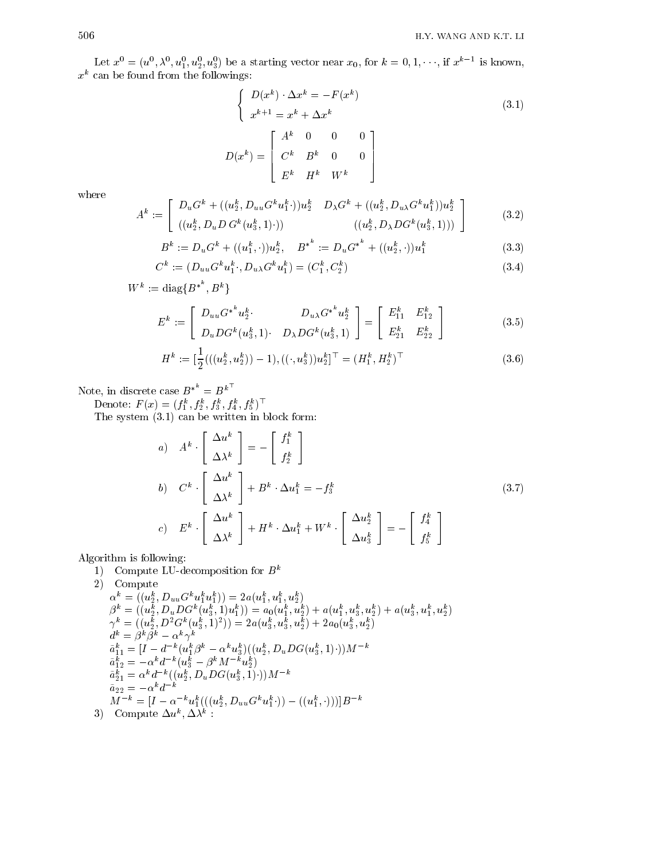Let  $x^2 = (u^2, \lambda^2, u_1^2, u_2^2, u_3^2)$  be a starting vector near  $x_0$ , for  $\kappa = 0, 1, \dots, 11, x^2$ . Is known,  $x^{\cdot}$  can be found from the followings:

$$
\begin{cases}\nD(x^k) \cdot \Delta x^k = -F(x^k) \\
x^{k+1} = x^k + \Delta x^k\n\end{cases}
$$
\n(3.1)\n
$$
D(x^k) = \begin{bmatrix}\nA^k & 0 & 0 & 0 \\
C^k & B^k & 0 & 0 \\
E^k & H^k & W^k\n\end{bmatrix}
$$

where

$$
A^{k} := \begin{bmatrix} D_{u}G^{k} + ((u_{2}^{k}, D_{uu}G^{k}u_{1}^{k} \cdot))u_{2}^{k} & D_{\lambda}G^{k} + ((u_{2}^{k}, D_{u\lambda}G^{k}u_{1}^{k}))u_{2}^{k} \\ ((u_{2}^{k}, D_{u}D G^{k}(u_{3}^{k}, 1) \cdot)) & ((u_{2}^{k}, D_{\lambda}D G^{k}(u_{3}^{k}, 1))) \end{bmatrix}
$$
(3.2)

$$
B^{k} := D_{u}G^{k} + ((u_{1}^{k}, \cdot))u_{2}^{k}, \quad B^{*^{k}} := D_{u}G^{*^{k}} + ((u_{2}^{k}, \cdot))u_{1}^{k}
$$
(3.3)

$$
C^k := (D_{uu} G^k u_1^k, D_{u\lambda} G^k u_1^k) = (C_1^k, C_2^k)
$$
\n(3.4)

$$
W^k:=\mathrm{diag}\{B^{\ast^k},B^k\}
$$

$$
E^{k} := \left[ \begin{array}{cc} D_{uu} G^{*^{k}} u_{2}^{k} & D_{u\lambda} G^{*^{k}} u_{2}^{k} \\ D_{u} D G^{k} (u_{3}^{k}, 1) & D_{\lambda} D G^{k} (u_{3}^{k}, 1) \end{array} \right] = \left[ \begin{array}{cc} E_{11}^{k} & E_{12}^{k} \\ E_{21}^{k} & E_{22}^{k} \end{array} \right]
$$
(3.5)

$$
H^k := \left[\frac{1}{2}(((u_2^k, u_2^k)) - 1), ((\cdot, u_3^k))u_2^k\right]^\top = (H_1^k, H_2^k)^\top
$$
\n
$$
(3.6)
$$

Note, in discrete case  $B^{*-} = B^k$ 

Denote  $F(x) = (f_1^1, f_2^2, f_3^2, f_4^3, f_5^2)$ 

 $\sim$  system (Fig. ) and it we have the system in block form  $\sim$ 

a) 
$$
A^k \cdot \begin{bmatrix} \Delta u^k \\ \Delta \lambda^k \end{bmatrix} = - \begin{bmatrix} f_1^k \\ f_2^k \end{bmatrix}
$$
  
\nb)  $C^k \cdot \begin{bmatrix} \Delta u^k \\ \Delta \lambda^k \end{bmatrix} + B^k \cdot \Delta u_1^k = -f_3^k$   
\nc)  $E^k \cdot \begin{bmatrix} \Delta u^k \\ \Delta \lambda^k \end{bmatrix} + H^k \cdot \Delta u_1^k + W^k \cdot \begin{bmatrix} \Delta u_2^k \\ \Delta u_3^k \end{bmatrix} = - \begin{bmatrix} f_4^k \\ f_5^k \end{bmatrix}$  (3.7)

Algorithm is following

1) Compute LU-decomposition for  $B^k$ 

2) Compute  
\n
$$
\alpha^k = ((u_2^k, D_{uu}G^ku_1^ku_1^k)) = 2a(u_1^k, u_1^k, u_2^k)
$$
\n
$$
\beta^k = ((u_2^k, D_uDG^k(u_3^k, 1)u_1^k)) = a_0(u_1^k, u_2^k) + a(u_1^k, u_3^k, u_2^k) + a(u_3^k, u_1^k, u_2^k)
$$
\n
$$
\gamma^k = ((u_2^k, D^2G^k(u_3^k, 1)^2)) = 2a(u_3^k, u_3^k, u_2^k) + 2a_0(u_3^k, u_2^k)
$$
\n
$$
\begin{aligned}\n\tilde{a}^k = \beta^k \beta^k - \alpha^k \gamma^k \\
\tilde{a}^k_{11} &= [I - d^{-k}(u_1^k \beta^k - \alpha^k u_3^k)((u_2^k, D_uDG(u_3^k, 1) \cdot))M^{-k} \\
\tilde{a}^k_{12} &= -\alpha^k d^{-k}(u_3^k - \beta^k M^{-k} u_2^k) \\
\tilde{a}^k_{21} &= \alpha^k d^{-k}((u_2^k, D_uDG(u_3^k, 1) \cdot))M^{-k} \\
\tilde{a}_{22} &= -\alpha^k d^{-k} \\
M^{-k} &= [I - \alpha^{-k} u_1^k(((u_2^k, D_{uu}G^ku_1^k \cdot)) - ((u_1^k, \cdot)))]B^{-k} \\
3) & \text{Compute } \Delta u^k, \Delta \lambda^k:\n\end{aligned}
$$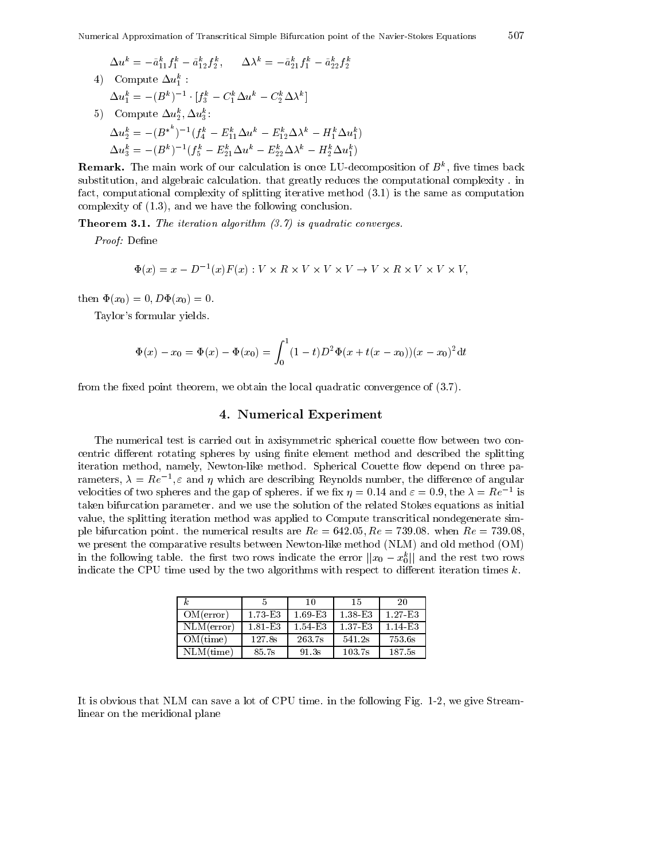$\Delta u^{\mu} = -a_{11}^{\mu} J_1^{\mu} - a_{12}^{\mu} J_2^{\mu}$ ,  $\Delta \lambda^{\mu} = -a_{21}^{\mu} J_1^{\mu} - a_{22}^{\mu} J_2^{\mu}$ 4) Compute  $\Delta u_1^{\circ}$ :  $\Delta u_1^{\scriptscriptstyle\vee} = - (B^{\scriptscriptstyle\vee}) \qquad [J_3^{\scriptscriptstyle\vee} = \cup_1^{\scriptscriptstyle\vee} \Delta u^{\scriptscriptstyle\vee} = \cup_2^{\scriptscriptstyle\vee} \Delta \lambda^{\scriptscriptstyle\vee}]$  $\omega_0$  Compute  $\Delta u_2^2$ ,  $\Delta u_3^2$ :  $\Delta u_2^k = - (B^{*-})^{-1}(f_4^k - E_{11}^k \Delta u^k - E_{12}^k \Delta \lambda^k - H_1^k \Delta u_1^k)$  $\Delta u_3^* = - (D^*)^-(J_5^* - E_{21}^* \Delta u^* - E_{22}^* \Delta \lambda^* - H_2^* \Delta u_1^*)$ 

**Remark.** The main work of our calculation is once LU-decomposition of  $B^{\pi}$ , five times back substitution, and algebraic calculation. that greatly reduces the computational complexity. in fact, computational complexity of splitting iterative method  $(3.1)$  is the same as computation complexity of  $(1.3)$ , and we have the following conclusion.

 $\pm$  iteration algorithm is algorithm in the induced converges.

Proof Dene

$$
\Phi(x) = x - D^{-1}(x)F(x) : V \times R \times V \times V \times V \to V \times R \times V \times V \times V,
$$

then  $\Phi(x_0) = 0, D\Phi(x_0) = 0.$ 

Taylor's formular yields.

$$
\Phi(x) - x_0 = \Phi(x) - \Phi(x_0) = \int_0^1 (1-t)D^2 \Phi(x + t(x - x_0))(x - x_0)^2 \mathrm{d}t
$$

from the fixed point theorem, we obtain the local quadratic convergence of  $(3.7)$ .

### - Numerical Experiment

The numerical test is carried out in axisymmetric spherical couette flow between two concentric different rotating spheres by using finite element method and described the splitting iteration method, namely, Newton-like method. Spherical Couette flow depend on three parameters,  $\lambda = Re^{-\tau}$ ,  $\varepsilon$  and  $\eta$  which are describing Reynolds number, the difference of angular velocities of two spheres and the gap of spheres. If we fix  $\eta = 0.14$  and  $\varepsilon = 0.9$ , the  $\lambda = Re^{-1}$  is taken bifurcation parameter and we use the solution of the related Stokes equations as initial value, the splitting iteration method was applied to Compute transcritical nondegenerate simple bifurcation point the numerical results are Re - Re - when Re we present the comparative results between Newton-like method (NLM) and old method (OM) in the following table. The first two rows indicate the error  $||x_0 - x_0||$  and the rest two rows indicate the CPU time used by the two algorithms with respect to different iteration times  $k$ .

| k.           |         | 10      | 15      | -20     |
|--------------|---------|---------|---------|---------|
| OM(error)    | 1.73 E3 | 1.69E3  | 1.38 E3 | 1.27 E3 |
| NLM(error)   | 1.81 E3 | 1.54 E3 | 1.37 E3 | 1.14 E3 |
| OM(time)     | 127.8s  | 263.7s  | 541.2s  | 753.6s  |
| $NLM$ (time) | 85.7s   | 91.3s   | 103.7s  | 187.5s  |

It is obvious that NLM can save a lot of CPU time. in the following Fig.  $1-2$ , we give Streamlinear on the meridional plane